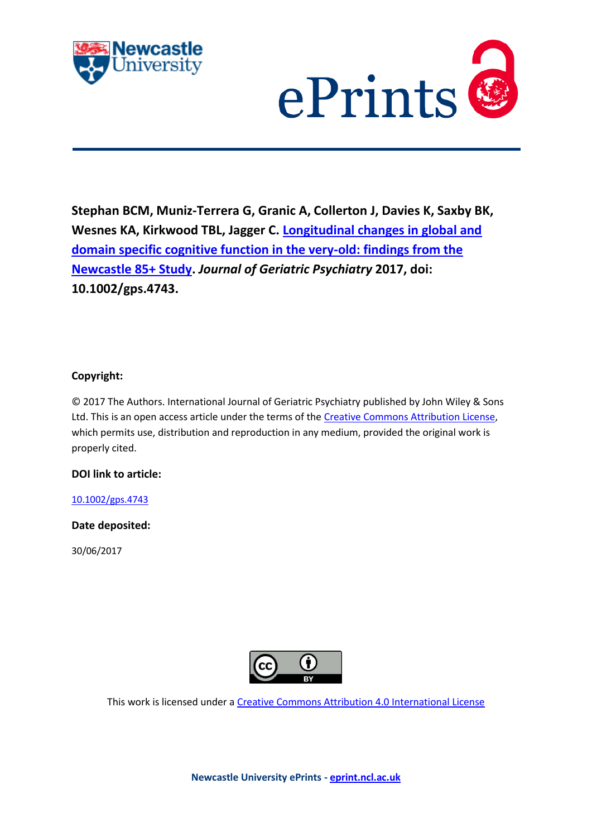



**Stephan BCM, Muniz-Terrera G, Granic A, Collerton J, Davies K, Saxby BK, Wesnes KA, Kirkwood TBL, Jagger C. [Longitudinal changes in global and](http://eprint.ncl.ac.uk/pub_details2.aspx?pub_id=239382)  [domain specific cognitive function in the very-old: findings from the](http://eprint.ncl.ac.uk/pub_details2.aspx?pub_id=239382)  [Newcastle 85+ Study.](http://eprint.ncl.ac.uk/pub_details2.aspx?pub_id=239382)** *Journal of Geriatric Psychiatry* **2017, doi: 10.1002/gps.4743.**

# **Copyright:**

© 2017 The Authors. International Journal of Geriatric Psychiatry published by John Wiley & Sons Ltd. This is an open access article under the terms of the [Creative Commons Attribution License,](http://creativecommons.org/licenses/by/4.0/) which permits use, distribution and reproduction in any medium, provided the original work is properly cited.

# **DOI link to article:**

# <10.1002/gps.4743>

# **Date deposited:**

30/06/2017



This work is licensed under [a Creative Commons Attribution 4.0 International License](http://creativecommons.org/licenses/by/4.0/)

**Newcastle University ePrints - [eprint.ncl.ac.uk](http://eprint.ncl.ac.uk/)**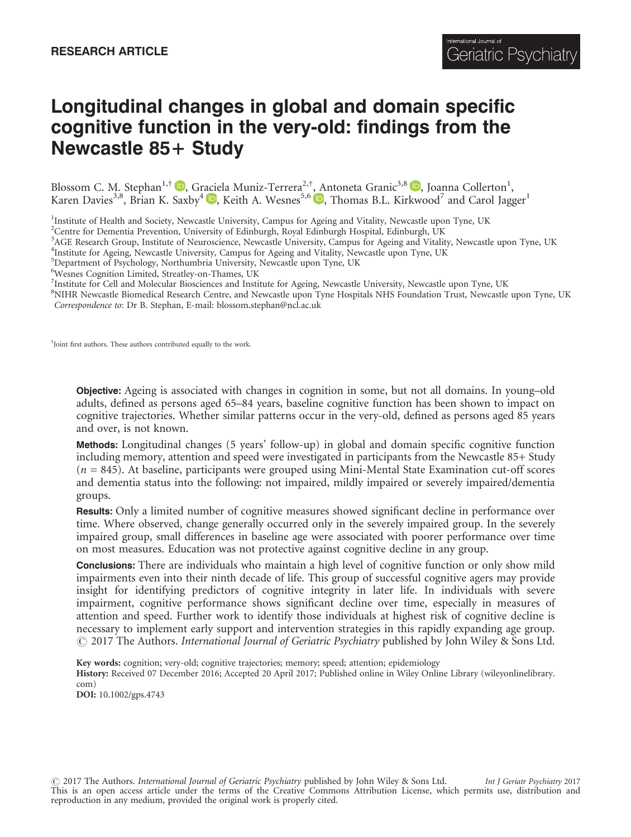# Longitudinal changes in global and domain specific cognitive function in the very-old: findings from the Newcastle 85+ Study

Blossom C. M. Stephan<sup>1[,](http://orcid.org/0000-0002-4498-8511)†</sup> D, Gr[acie](http://orcid.org/0000-0003-2912-5176)la Muniz-Terrera<sup>2,†</sup>, [A](http://orcid.org/0000-0002-4498-8511)ntoneta Granic<sup>3,8</sup> D, Joanna Collerton<sup>1</sup>, Karen Davies<sup>3,8</sup>, Brian K. Saxby<sup>4</sup> D, Keith A. Wesnes<sup>5,6</sup> D, Thomas B.L. Kirkwood<sup>7</sup> and Carol Jagger<sup>1</sup>

<sup>1</sup>Institute of Health and Society, Newcastle University, Campus for Ageing and Vitality, Newcastle upon Tyne, UK

<sup>2</sup>Centre for Dementia Prevention, University of Edinburgh, Royal Edinburgh Hospital, Edinburgh, UK

<sup>3</sup>AGE Research Group, Institute of Neuroscience, Newcastle University, Campus for Ageing and Vitality, Newcastle upon Tyne, UK <sup>4</sup>Institute for Ageing, Newcastle University, Campus for Ageing and Vitality, Newcastle upon Tyne, UK

<sup>5</sup>Department of Psychology, Northumbria University, Newcastle upon Tyne, UK

6 Wesnes Cognition Limited, Streatley-on-Thames, UK

<sup>7</sup>Institute for Cell and Molecular Biosciences and Institute for Ageing, Newcastle University, Newcastle upon Tyne, UK

<sup>8</sup>NIHR Newcastle Biomedical Research Centre, and Newcastle upon Tyne Hospitals NHS Foundation Trust, Newcastle upon Tyne, UK Correspondence to: Dr B. Stephan, E-mail: blossom.stephan@ncl.ac.uk

† Joint first authors. These authors contributed equally to the work.

Objective: Ageing is associated with changes in cognition in some, but not all domains. In young–old adults, defined as persons aged 65–84 years, baseline cognitive function has been shown to impact on cognitive trajectories. Whether similar patterns occur in the very-old, defined as persons aged 85 years and over, is not known.

Methods: Longitudinal changes (5 years' follow-up) in global and domain specific cognitive function including memory, attention and speed were investigated in participants from the Newcastle 85+ Study  $(n = 845)$ . At baseline, participants were grouped using Mini-Mental State Examination cut-off scores and dementia status into the following: not impaired, mildly impaired or severely impaired/dementia groups.

Results: Only a limited number of cognitive measures showed significant decline in performance over time. Where observed, change generally occurred only in the severely impaired group. In the severely impaired group, small differences in baseline age were associated with poorer performance over time on most measures. Education was not protective against cognitive decline in any group.

Conclusions: There are individuals who maintain a high level of cognitive function or only show mild impairments even into their ninth decade of life. This group of successful cognitive agers may provide insight for identifying predictors of cognitive integrity in later life. In individuals with severe impairment, cognitive performance shows significant decline over time, especially in measures of attention and speed. Further work to identify those individuals at highest risk of cognitive decline is necessary to implement early support and intervention strategies in this rapidly expanding age group.  $\odot$  2017 The Authors. International Journal of Geriatric Psychiatry published by John Wiley & Sons Ltd.

Key words: cognition; very-old; cognitive trajectories; memory; speed; attention; epidemiology

History: Received 07 December 2016; Accepted 20 April 2017; Published online in Wiley Online Library (wileyonlinelibrary. com)

DOI: 10.1002/gps.4743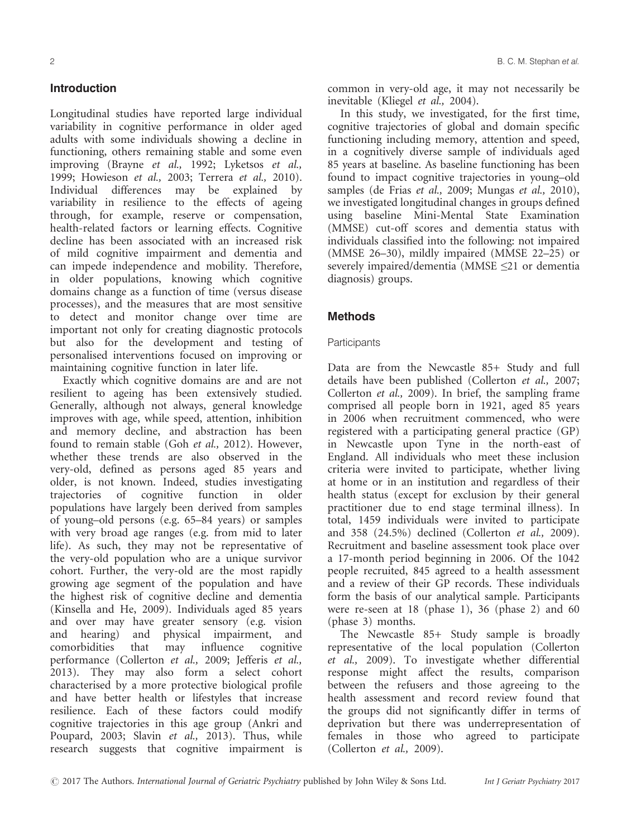## Introduction

Longitudinal studies have reported large individual variability in cognitive performance in older aged adults with some individuals showing a decline in functioning, others remaining stable and some even improving (Brayne et al., 1992; Lyketsos et al., 1999; Howieson et al., 2003; Terrera et al., 2010). Individual differences may be explained by variability in resilience to the effects of ageing through, for example, reserve or compensation, health-related factors or learning effects. Cognitive decline has been associated with an increased risk of mild cognitive impairment and dementia and can impede independence and mobility. Therefore, in older populations, knowing which cognitive domains change as a function of time (versus disease processes), and the measures that are most sensitive to detect and monitor change over time are important not only for creating diagnostic protocols but also for the development and testing of personalised interventions focused on improving or maintaining cognitive function in later life.

Exactly which cognitive domains are and are not resilient to ageing has been extensively studied. Generally, although not always, general knowledge improves with age, while speed, attention, inhibition and memory decline, and abstraction has been found to remain stable (Goh et al., 2012). However, whether these trends are also observed in the very-old, defined as persons aged 85 years and older, is not known. Indeed, studies investigating trajectories of cognitive function in older populations have largely been derived from samples of young–old persons (e.g. 65–84 years) or samples with very broad age ranges (e.g. from mid to later life). As such, they may not be representative of the very-old population who are a unique survivor cohort. Further, the very-old are the most rapidly growing age segment of the population and have the highest risk of cognitive decline and dementia (Kinsella and He, 2009). Individuals aged 85 years and over may have greater sensory (e.g. vision and hearing) and physical impairment, and<br>comorbidities that may influence cognitive  $that$   $may$   $influence$ performance (Collerton et al., 2009; Jefferis et al., 2013). They may also form a select cohort characterised by a more protective biological profile and have better health or lifestyles that increase resilience. Each of these factors could modify cognitive trajectories in this age group (Ankri and Poupard, 2003; Slavin et al., 2013). Thus, while research suggests that cognitive impairment is

common in very-old age, it may not necessarily be inevitable (Kliegel et al., 2004).

In this study, we investigated, for the first time, cognitive trajectories of global and domain specific functioning including memory, attention and speed, in a cognitively diverse sample of individuals aged 85 years at baseline. As baseline functioning has been found to impact cognitive trajectories in young–old samples (de Frias et al., 2009; Mungas et al., 2010), we investigated longitudinal changes in groups defined using baseline Mini-Mental State Examination (MMSE) cut-off scores and dementia status with individuals classified into the following: not impaired (MMSE 26–30), mildly impaired (MMSE 22–25) or severely impaired/dementia (MMSE ≤21 or dementia diagnosis) groups.

## **Methods**

#### **Participants**

Data are from the Newcastle 85+ Study and full details have been published (Collerton et al., 2007; Collerton et al.,  $2009$ ). In brief, the sampling frame comprised all people born in 1921, aged 85 years in 2006 when recruitment commenced, who were registered with a participating general practice (GP) in Newcastle upon Tyne in the north-east of England. All individuals who meet these inclusion criteria were invited to participate, whether living at home or in an institution and regardless of their health status (except for exclusion by their general practitioner due to end stage terminal illness). In total, 1459 individuals were invited to participate and 358 (24.5%) declined (Collerton et al., 2009). Recruitment and baseline assessment took place over a 17-month period beginning in 2006. Of the 1042 people recruited, 845 agreed to a health assessment and a review of their GP records. These individuals form the basis of our analytical sample. Participants were re-seen at 18 (phase 1), 36 (phase 2) and 60 (phase 3) months.

The Newcastle 85+ Study sample is broadly representative of the local population (Collerton et al., 2009). To investigate whether differential response might affect the results, comparison between the refusers and those agreeing to the health assessment and record review found that the groups did not significantly differ in terms of deprivation but there was underrepresentation of females in those who agreed to participate (Collerton et al., 2009).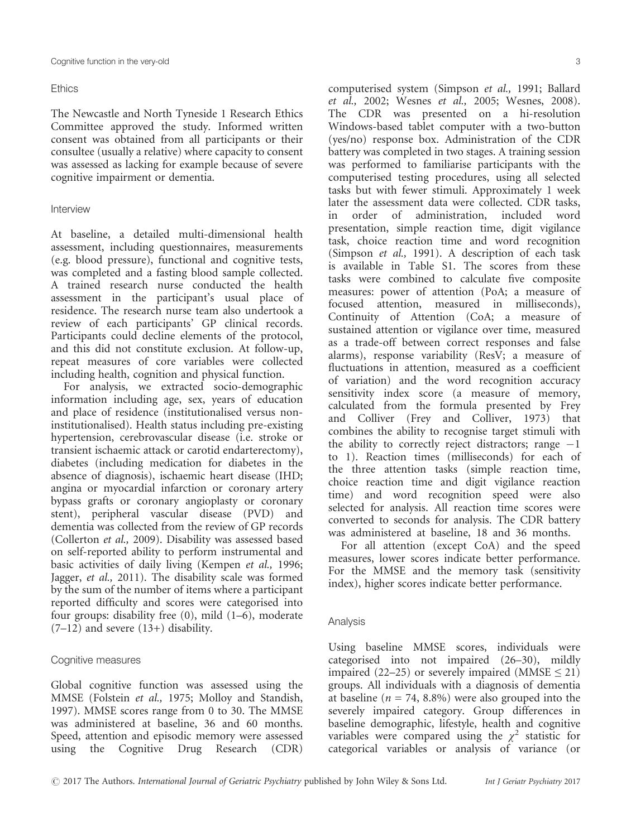#### **Ethics**

The Newcastle and North Tyneside 1 Research Ethics Committee approved the study. Informed written consent was obtained from all participants or their consultee (usually a relative) where capacity to consent was assessed as lacking for example because of severe cognitive impairment or dementia.

## Interview

At baseline, a detailed multi-dimensional health assessment, including questionnaires, measurements (e.g. blood pressure), functional and cognitive tests, was completed and a fasting blood sample collected. A trained research nurse conducted the health assessment in the participant's usual place of residence. The research nurse team also undertook a review of each participants' GP clinical records. Participants could decline elements of the protocol, and this did not constitute exclusion. At follow-up, repeat measures of core variables were collected including health, cognition and physical function.

For analysis, we extracted socio-demographic information including age, sex, years of education and place of residence (institutionalised versus noninstitutionalised). Health status including pre-existing hypertension, cerebrovascular disease (i.e. stroke or transient ischaemic attack or carotid endarterectomy), diabetes (including medication for diabetes in the absence of diagnosis), ischaemic heart disease (IHD; angina or myocardial infarction or coronary artery bypass grafts or coronary angioplasty or coronary stent), peripheral vascular disease (PVD) and dementia was collected from the review of GP records (Collerton et al., 2009). Disability was assessed based on self-reported ability to perform instrumental and basic activities of daily living (Kempen et al., 1996; Jagger, et al., 2011). The disability scale was formed by the sum of the number of items where a participant reported difficulty and scores were categorised into four groups: disability free (0), mild (1–6), moderate  $(7-12)$  and severe  $(13+)$  disability.

## Cognitive measures

Global cognitive function was assessed using the MMSE (Folstein et al., 1975; Molloy and Standish, 1997). MMSE scores range from 0 to 30. The MMSE was administered at baseline, 36 and 60 months. Speed, attention and episodic memory were assessed using the Cognitive Drug Research (CDR)

computerised system (Simpson et al., 1991; Ballard et al., 2002; Wesnes et al., 2005; Wesnes, 2008). The CDR was presented on a hi-resolution Windows-based tablet computer with a two-button (yes/no) response box. Administration of the CDR battery was completed in two stages. A training session was performed to familiarise participants with the computerised testing procedures, using all selected tasks but with fewer stimuli. Approximately 1 week later the assessment data were collected. CDR tasks, in order of administration, included word presentation, simple reaction time, digit vigilance task, choice reaction time and word recognition (Simpson et al., 1991). A description of each task is available in Table S1. The scores from these tasks were combined to calculate five composite measures: power of attention (PoA; a measure of focused attention, measured in milliseconds), Continuity of Attention (CoA; a measure of sustained attention or vigilance over time, measured as a trade-off between correct responses and false alarms), response variability (ResV; a measure of fluctuations in attention, measured as a coefficient of variation) and the word recognition accuracy sensitivity index score (a measure of memory, calculated from the formula presented by Frey and Colliver (Frey and Colliver, 1973) that combines the ability to recognise target stimuli with the ability to correctly reject distractors; range  $-1$ to 1). Reaction times (milliseconds) for each of the three attention tasks (simple reaction time, choice reaction time and digit vigilance reaction time) and word recognition speed were also selected for analysis. All reaction time scores were converted to seconds for analysis. The CDR battery was administered at baseline, 18 and 36 months.

For all attention (except CoA) and the speed measures, lower scores indicate better performance. For the MMSE and the memory task (sensitivity index), higher scores indicate better performance.

## Analysis

Using baseline MMSE scores, individuals were categorised into not impaired (26–30), mildly impaired (22–25) or severely impaired (MMSE  $\leq$  21) groups. All individuals with a diagnosis of dementia at baseline ( $n = 74$ , 8.8%) were also grouped into the severely impaired category. Group differences in baseline demographic, lifestyle, health and cognitive variables were compared using the  $\chi^2$  statistic for categorical variables or analysis of variance (or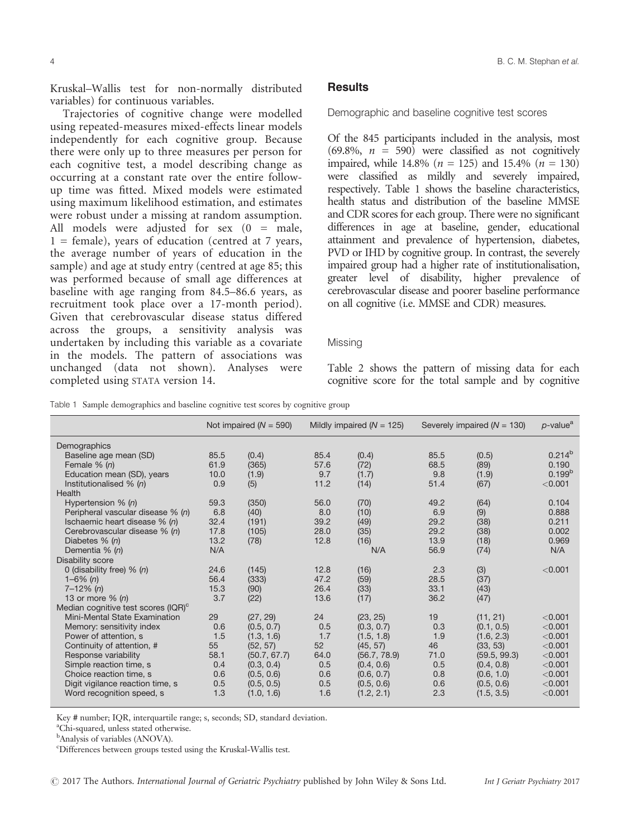Kruskal–Wallis test for non-normally distributed variables) for continuous variables.

Trajectories of cognitive change were modelled using repeated-measures mixed-effects linear models independently for each cognitive group. Because there were only up to three measures per person for each cognitive test, a model describing change as occurring at a constant rate over the entire followup time was fitted. Mixed models were estimated using maximum likelihood estimation, and estimates were robust under a missing at random assumption. All models were adjusted for sex  $(0 = \text{male},$  $1 =$  female), years of education (centred at 7 years, the average number of years of education in the sample) and age at study entry (centred at age 85; this was performed because of small age differences at baseline with age ranging from 84.5–86.6 years, as recruitment took place over a 17-month period). Given that cerebrovascular disease status differed across the groups, a sensitivity analysis was undertaken by including this variable as a covariate in the models. The pattern of associations was unchanged (data not shown). Analyses were completed using STATA version 14.

#### **Results**

Demographic and baseline cognitive test scores

Of the 845 participants included in the analysis, most  $(69.8\%, n = 590)$  were classified as not cognitively impaired, while 14.8% ( $n = 125$ ) and 15.4% ( $n = 130$ ) were classified as mildly and severely impaired, respectively. Table 1 shows the baseline characteristics, health status and distribution of the baseline MMSE and CDR scores for each group. There were no significant differences in age at baseline, gender, educational attainment and prevalence of hypertension, diabetes, PVD or IHD by cognitive group. In contrast, the severely impaired group had a higher rate of institutionalisation, greater level of disability, higher prevalence of cerebrovascular disease and poorer baseline performance on all cognitive (i.e. MMSE and CDR) measures.

#### **Missing**

Table 2 shows the pattern of missing data for each cognitive score for the total sample and by cognitive

Table 1 Sample demographics and baseline cognitive test scores by cognitive group

|                                                 | Not impaired ( $N = 590$ ) |              |      | Mildly impaired ( $N = 125$ ) | Severely impaired $(N = 130)$ |              | $p$ -value <sup>a</sup> |
|-------------------------------------------------|----------------------------|--------------|------|-------------------------------|-------------------------------|--------------|-------------------------|
| Demographics                                    |                            |              |      |                               |                               |              |                         |
| Baseline age mean (SD)                          | 85.5                       | (0.4)        | 85.4 | (0.4)                         | 85.5                          | (0.5)        | $0.214^{b}$             |
| Female $% (n)$                                  | 61.9                       | (365)        | 57.6 | (72)                          | 68.5                          | (89)         | 0.190                   |
| Education mean (SD), years                      | 10.0                       | (1.9)        | 9.7  | (1.7)                         | 9.8                           | (1.9)        | 0.199 <sup>b</sup>      |
| Institutionalised $% (n)$                       | 0.9                        | (5)          | 11.2 | (14)                          | 51.4                          | (67)         | < 0.001                 |
| Health                                          |                            |              |      |                               |                               |              |                         |
| Hypertension $% (n)$                            | 59.3                       | (350)        | 56.0 | (70)                          | 49.2                          | (64)         | 0.104                   |
| Peripheral vascular disease % (n)               | 6.8                        | (40)         | 8.0  | (10)                          | 6.9                           | (9)          | 0.888                   |
| Ischaemic heart disease % (n)                   | 32.4                       | (191)        | 39.2 | (49)                          | 29.2                          | (38)         | 0.211                   |
| Cerebrovascular disease % (n)                   | 17.8                       | (105)        | 28.0 | (35)                          | 29.2                          | (38)         | 0.002                   |
| Diabetes % (n)                                  | 13.2                       | (78)         | 12.8 | (16)                          | 13.9                          | (18)         | 0.969                   |
| Dementia % (n)                                  | N/A                        |              |      | N/A                           | 56.9                          | (74)         | N/A                     |
| <b>Disability score</b>                         |                            |              |      |                               |                               |              |                         |
| 0 (disability free) $% (n)$                     | 24.6                       | (145)        | 12.8 | (16)                          | 2.3                           | (3)          | < 0.001                 |
| $1 - 6\%$ (n)                                   | 56.4                       | (333)        | 47.2 | (59)                          | 28.5                          | (37)         |                         |
| $7 - 12\%$ (n)                                  | 15.3                       | (90)         | 26.4 | (33)                          | 33.1                          | (43)         |                         |
| 13 or more $\%$ (n)                             | 3.7                        | (22)         | 13.6 | (17)                          | 36.2                          | (47)         |                         |
| Median cognitive test scores (IQR) <sup>c</sup> |                            |              |      |                               |                               |              |                         |
| Mini-Mental State Examination                   | 29                         | (27, 29)     | 24   | (23, 25)                      | 19                            | (11, 21)     | < 0.001                 |
| Memory: sensitivity index                       | 0.6                        | (0.5, 0.7)   | 0.5  | (0.3, 0.7)                    | 0.3                           | (0.1, 0.5)   | < 0.001                 |
| Power of attention, s                           | 1.5                        | (1.3, 1.6)   | 1.7  | (1.5, 1.8)                    | 1.9                           | (1.6, 2.3)   | < 0.001                 |
| Continuity of attention, #                      | 55                         | (52, 57)     | 52   | (45, 57)                      | 46                            | (33, 53)     | < 0.001                 |
| Response variability                            | 58.1                       | (50.7, 67.7) | 64.0 | (56.7, 78.9)                  | 71.0                          | (59.5, 99.3) | < 0.001                 |
| Simple reaction time, s                         | 0.4                        | (0.3, 0.4)   | 0.5  | (0.4, 0.6)                    | 0.5                           | (0.4, 0.8)   | < 0.001                 |
| Choice reaction time, s                         | 0.6                        | (0.5, 0.6)   | 0.6  | (0.6, 0.7)                    | 0.8                           | (0.6, 1.0)   | < 0.001                 |
| Digit vigilance reaction time, s                | 0.5                        | (0.5, 0.5)   | 0.5  | (0.5, 0.6)                    | 0.6                           | (0.5, 0.6)   | < 0.001                 |
| Word recognition speed, s                       | 1.3                        | (1.0, 1.6)   | 1.6  | (1.2, 2.1)                    | 2.3                           | (1.5, 3.5)   | < 0.001                 |
|                                                 |                            |              |      |                               |                               |              |                         |

Key # number; IQR, interquartile range; s, seconds; SD, standard deviation.

a Chi-squared, unless stated otherwise.

<sup>b</sup>Analysis of variables (ANOVA).

c Differences between groups tested using the Kruskal-Wallis test.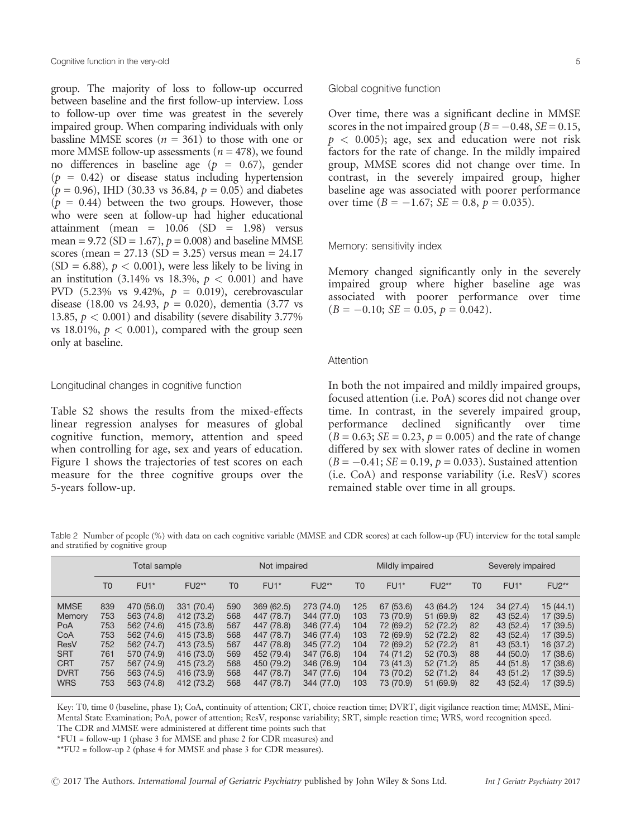group. The majority of loss to follow-up occurred between baseline and the first follow-up interview. Loss to follow-up over time was greatest in the severely impaired group. When comparing individuals with only bassline MMSE scores  $(n = 361)$  to those with one or more MMSE follow-up assessments ( $n = 478$ ), we found no differences in baseline age ( $p = 0.67$ ), gender  $(p = 0.42)$  or disease status including hypertension  $(p = 0.96)$ , IHD (30.33 vs 36.84,  $p = 0.05$ ) and diabetes  $(p = 0.44)$  between the two groups. However, those who were seen at follow-up had higher educational attainment (mean = 10.06 (SD = 1.98) versus mean = 9.72 (SD = 1.67),  $p = 0.008$ ) and baseline MMSE scores (mean = 27.13 (SD = 3.25) versus mean =  $24.17$  $(SD = 6.88)$ ,  $p < 0.001$ , were less likely to be living in an institution (3.14% vs 18.3%,  $p < 0.001$ ) and have PVD (5.23% vs 9.42%,  $p = 0.019$ ), cerebrovascular disease (18.00 vs 24.93,  $p = 0.020$ ), dementia (3.77 vs 13.85,  $p < 0.001$ ) and disability (severe disability 3.77%) vs 18.01%,  $p < 0.001$ ), compared with the group seen only at baseline.

## Longitudinal changes in cognitive function

Table S2 shows the results from the mixed-effects linear regression analyses for measures of global cognitive function, memory, attention and speed when controlling for age, sex and years of education. Figure 1 shows the trajectories of test scores on each measure for the three cognitive groups over the 5-years follow-up.

## Global cognitive function

Over time, there was a significant decline in MMSE scores in the not impaired group ( $B = -0.48$ ,  $SE = 0.15$ ,  $p < 0.005$ ); age, sex and education were not risk factors for the rate of change. In the mildly impaired group, MMSE scores did not change over time. In contrast, in the severely impaired group, higher baseline age was associated with poorer performance over time ( $B = -1.67$ ;  $SE = 0.8$ ,  $p = 0.035$ ).

#### Memory: sensitivity index

Memory changed significantly only in the severely impaired group where higher baseline age was associated with poorer performance over time  $(B = -0.10; SE = 0.05, p = 0.042).$ 

#### Attention

In both the not impaired and mildly impaired groups, focused attention (i.e. PoA) scores did not change over time. In contrast, in the severely impaired group, performance declined significantly over time  $(B = 0.63; SE = 0.23, p = 0.005)$  and the rate of change differed by sex with slower rates of decline in women  $(B = -0.41; SE = 0.19, p = 0.033)$ . Sustained attention (i.e. CoA) and response variability (i.e. ResV) scores remained stable over time in all groups.

Table 2 Number of people (%) with data on each cognitive variable (MMSE and CDR scores) at each follow-up (FU) interview for the total sample and stratified by cognitive group

|                                                                                                      | Total sample                                                |                                                                                                                            |                                                                                                                            |                                                             | Not impaired                                                                                                               |                                                                                                                            | Mildly impaired                                             |                                                                                                                   |                                                                                                             | Severely impaired                                   |                                                                                                                 |                                                                                                                  |
|------------------------------------------------------------------------------------------------------|-------------------------------------------------------------|----------------------------------------------------------------------------------------------------------------------------|----------------------------------------------------------------------------------------------------------------------------|-------------------------------------------------------------|----------------------------------------------------------------------------------------------------------------------------|----------------------------------------------------------------------------------------------------------------------------|-------------------------------------------------------------|-------------------------------------------------------------------------------------------------------------------|-------------------------------------------------------------------------------------------------------------|-----------------------------------------------------|-----------------------------------------------------------------------------------------------------------------|------------------------------------------------------------------------------------------------------------------|
|                                                                                                      | T0                                                          | $FU1*$                                                                                                                     | $FU2**$                                                                                                                    | T0                                                          | $FU1*$                                                                                                                     | $FU2**$                                                                                                                    | T <sub>0</sub>                                              | $FU1*$                                                                                                            | <b>FU2**</b>                                                                                                | T0                                                  | $FU1*$                                                                                                          | <b>FU2**</b>                                                                                                     |
| <b>MMSE</b><br>Memory<br>PoA<br>CoA<br>ResV<br><b>SRT</b><br><b>CRT</b><br><b>DVRT</b><br><b>WRS</b> | 839<br>753<br>753<br>753<br>752<br>761<br>757<br>756<br>753 | 470 (56.0)<br>563 (74.8)<br>562 (74.6)<br>562 (74.6)<br>562 (74.7)<br>570 (74.9)<br>567 (74.9)<br>563 (74.5)<br>563 (74.8) | 331 (70.4)<br>412 (73.2)<br>415 (73.8)<br>415 (73.8)<br>413 (73.5)<br>416 (73.0)<br>415 (73.2)<br>416 (73.9)<br>412 (73.2) | 590<br>568<br>567<br>568<br>567<br>569<br>568<br>568<br>568 | 369 (62.5)<br>447 (78.7)<br>447 (78.8)<br>447 (78.7)<br>447 (78.8)<br>452 (79.4)<br>450 (79.2)<br>447 (78.7)<br>447 (78.7) | 273 (74.0)<br>344 (77.0)<br>346 (77.4)<br>346 (77.4)<br>345 (77.2)<br>347 (76.8)<br>346 (76.9)<br>347 (77.6)<br>344 (77.0) | 125<br>103<br>104<br>103<br>104<br>104<br>104<br>104<br>103 | 67 (53.6)<br>73 (70.9)<br>72 (69.2)<br>72 (69.9)<br>72 (69.2)<br>74 (71.2)<br>73 (41.3)<br>73 (70.2)<br>73 (70.9) | 43 (64.2)<br>51 (69.9)<br>52(72.2)<br>52(72.2)<br>52(72.2)<br>52(70.3)<br>52(71.2)<br>52(71.2)<br>51 (69.9) | 124<br>82<br>82<br>82<br>81<br>88<br>85<br>84<br>82 | 34(27.4)<br>43 (52.4)<br>43 (52.4)<br>43 (52.4)<br>43(53.1)<br>44 (50.0)<br>44 (51.8)<br>43 (51.2)<br>43 (52.4) | 15(44.1)<br>17 (39.5)<br>17 (39.5)<br>17 (39.5)<br>16 (37.2)<br>17 (38.6)<br>17 (38.6)<br>17 (39.5)<br>17 (39.5) |

Key: T0, time 0 (baseline, phase 1); CoA, continuity of attention; CRT, choice reaction time; DVRT, digit vigilance reaction time; MMSE, Mini-Mental State Examination; PoA, power of attention; ResV, response variability; SRT, simple reaction time; WRS, word recognition speed.

The CDR and MMSE were administered at different time points such that

\*FU1 = follow-up 1 (phase 3 for MMSE and phase 2 for CDR measures) and

\*\*FU2 = follow-up 2 (phase 4 for MMSE and phase 3 for CDR measures).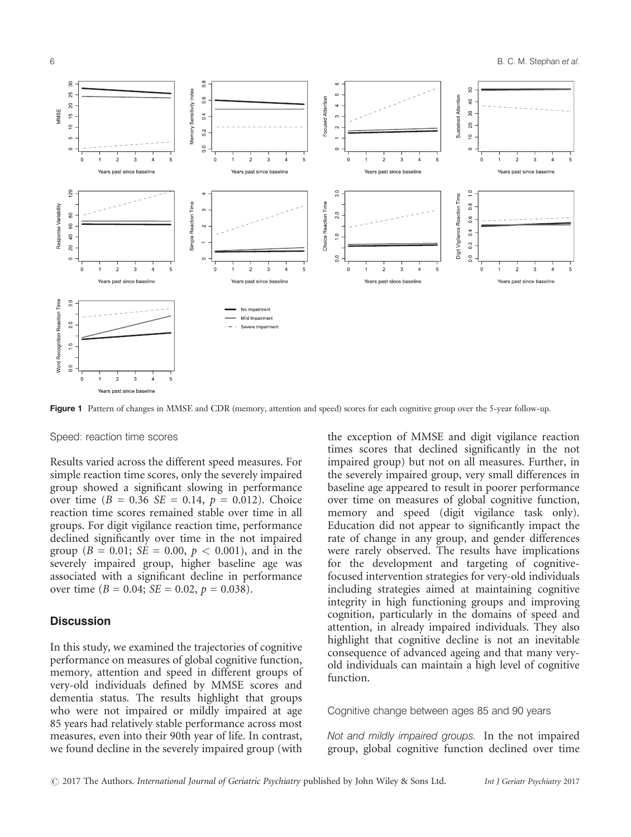

Figure 1 Pattern of changes in MMSE and CDR (memory, attention and speed) scores for each cognitive group over the 5-year follow-up.

#### Speed: reaction time scores

Results varied across the different speed measures. For simple reaction time scores, only the severely impaired group showed a significant slowing in performance over time ( $B = 0.36$  SE = 0.14,  $p = 0.012$ ). Choice reaction time scores remained stable over time in all groups. For digit vigilance reaction time, performance declined significantly over time in the not impaired group ( $B = 0.01$ ;  $SE = 0.00$ ,  $p < 0.001$ ), and in the severely impaired group, higher baseline age was associated with a significant decline in performance over time ( $B = 0.04$ ;  $SE = 0.02$ ,  $p = 0.038$ ).

## **Discussion**

In this study, we examined the trajectories of cognitive performance on measures of global cognitive function, memory, attention and speed in different groups of very-old individuals defined by MMSE scores and dementia status. The results highlight that groups who were not impaired or mildly impaired at age 85 years had relatively stable performance across most measures, even into their 90th year of life. In contrast, we found decline in the severely impaired group (with

the exception of MMSE and digit vigilance reaction times scores that declined significantly in the not impaired group) but not on all measures. Further, in the severely impaired group, very small differences in baseline age appeared to result in poorer performance over time on measures of global cognitive function, memory and speed (digit vigilance task only). Education did not appear to significantly impact the rate of change in any group, and gender differences were rarely observed. The results have implications for the development and targeting of cognitivefocused intervention strategies for very-old individuals including strategies aimed at maintaining cognitive integrity in high functioning groups and improving cognition, particularly in the domains of speed and attention, in already impaired individuals. They also highlight that cognitive decline is not an inevitable consequence of advanced ageing and that many veryold individuals can maintain a high level of cognitive function.

Cognitive change between ages 85 and 90 years

Not and mildly impaired groups. In the not impaired group, global cognitive function declined over time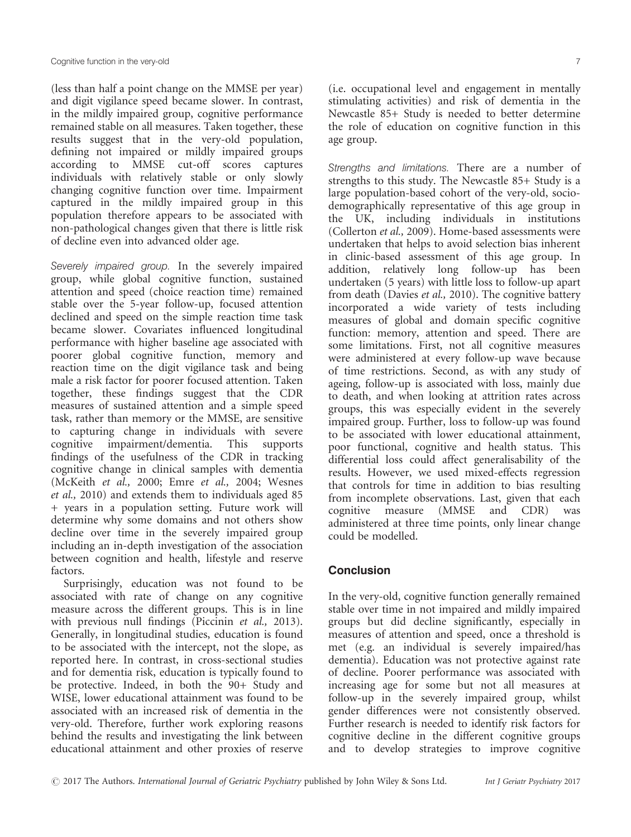(less than half a point change on the MMSE per year) and digit vigilance speed became slower. In contrast, in the mildly impaired group, cognitive performance remained stable on all measures. Taken together, these results suggest that in the very-old population, defining not impaired or mildly impaired groups according to MMSE cut-off scores captures individuals with relatively stable or only slowly changing cognitive function over time. Impairment captured in the mildly impaired group in this population therefore appears to be associated with non-pathological changes given that there is little risk of decline even into advanced older age.

Severely impaired group. In the severely impaired group, while global cognitive function, sustained attention and speed (choice reaction time) remained stable over the 5-year follow-up, focused attention declined and speed on the simple reaction time task became slower. Covariates influenced longitudinal performance with higher baseline age associated with poorer global cognitive function, memory and reaction time on the digit vigilance task and being male a risk factor for poorer focused attention. Taken together, these findings suggest that the CDR measures of sustained attention and a simple speed task, rather than memory or the MMSE, are sensitive to capturing change in individuals with severe cognitive impairment/dementia. This supports findings of the usefulness of the CDR in tracking cognitive change in clinical samples with dementia (McKeith et al., 2000; Emre et al., 2004; Wesnes et al., 2010) and extends them to individuals aged 85 + years in a population setting. Future work will determine why some domains and not others show decline over time in the severely impaired group including an in-depth investigation of the association between cognition and health, lifestyle and reserve factors.

Surprisingly, education was not found to be associated with rate of change on any cognitive measure across the different groups. This is in line with previous null findings (Piccinin et al., 2013). Generally, in longitudinal studies, education is found to be associated with the intercept, not the slope, as reported here. In contrast, in cross-sectional studies and for dementia risk, education is typically found to be protective. Indeed, in both the 90+ Study and WISE, lower educational attainment was found to be associated with an increased risk of dementia in the very-old. Therefore, further work exploring reasons behind the results and investigating the link between educational attainment and other proxies of reserve

(i.e. occupational level and engagement in mentally stimulating activities) and risk of dementia in the Newcastle 85+ Study is needed to better determine the role of education on cognitive function in this age group.

Strengths and limitations. There are a number of strengths to this study. The Newcastle 85+ Study is a large population-based cohort of the very-old, sociodemographically representative of this age group in the UK, including individuals in institutions (Collerton et al., 2009). Home-based assessments were undertaken that helps to avoid selection bias inherent in clinic-based assessment of this age group. In addition, relatively long follow-up has been undertaken (5 years) with little loss to follow-up apart from death (Davies et al., 2010). The cognitive battery incorporated a wide variety of tests including measures of global and domain specific cognitive function: memory, attention and speed. There are some limitations. First, not all cognitive measures were administered at every follow-up wave because of time restrictions. Second, as with any study of ageing, follow-up is associated with loss, mainly due to death, and when looking at attrition rates across groups, this was especially evident in the severely impaired group. Further, loss to follow-up was found to be associated with lower educational attainment, poor functional, cognitive and health status. This differential loss could affect generalisability of the results. However, we used mixed-effects regression that controls for time in addition to bias resulting from incomplete observations. Last, given that each<br>cognitive measure (MMSE and CDR) was cognitive measure (MMSE and CDR) administered at three time points, only linear change could be modelled.

# **Conclusion**

In the very-old, cognitive function generally remained stable over time in not impaired and mildly impaired groups but did decline significantly, especially in measures of attention and speed, once a threshold is met (e.g. an individual is severely impaired/has dementia). Education was not protective against rate of decline. Poorer performance was associated with increasing age for some but not all measures at follow-up in the severely impaired group, whilst gender differences were not consistently observed. Further research is needed to identify risk factors for cognitive decline in the different cognitive groups and to develop strategies to improve cognitive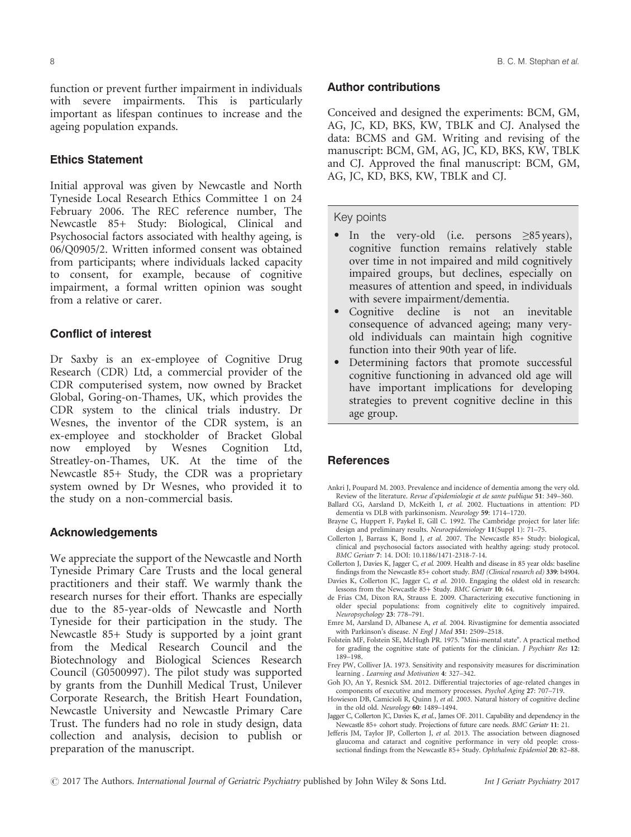8 B. C. M. Stephan et al.

function or prevent further impairment in individuals with severe impairments. This is particularly important as lifespan continues to increase and the ageing population expands.

## Ethics Statement

Initial approval was given by Newcastle and North Tyneside Local Research Ethics Committee 1 on 24 February 2006. The REC reference number, The Newcastle 85+ Study: Biological, Clinical and Psychosocial factors associated with healthy ageing, is 06/Q0905/2. Written informed consent was obtained from participants; where individuals lacked capacity to consent, for example, because of cognitive impairment, a formal written opinion was sought from a relative or carer.

## Conflict of interest

Dr Saxby is an ex-employee of Cognitive Drug Research (CDR) Ltd, a commercial provider of the CDR computerised system, now owned by Bracket Global, Goring-on-Thames, UK, which provides the CDR system to the clinical trials industry. Dr Wesnes, the inventor of the CDR system, is an ex-employee and stockholder of Bracket Global now employed by Wesnes Cognition Ltd, Streatley-on-Thames, UK. At the time of the Newcastle 85+ Study, the CDR was a proprietary system owned by Dr Wesnes, who provided it to the study on a non-commercial basis.

## Acknowledgements

We appreciate the support of the Newcastle and North Tyneside Primary Care Trusts and the local general practitioners and their staff. We warmly thank the research nurses for their effort. Thanks are especially due to the 85-year-olds of Newcastle and North Tyneside for their participation in the study. The Newcastle 85+ Study is supported by a joint grant from the Medical Research Council and the Biotechnology and Biological Sciences Research Council (G0500997). The pilot study was supported by grants from the Dunhill Medical Trust, Unilever Corporate Research, the British Heart Foundation, Newcastle University and Newcastle Primary Care Trust. The funders had no role in study design, data collection and analysis, decision to publish or preparation of the manuscript.

## Author contributions

Conceived and designed the experiments: BCM, GM, AG, JC, KD, BKS, KW, TBLK and CJ. Analysed the data: BCMS and GM. Writing and revising of the manuscript: BCM, GM, AG, JC, KD, BKS, KW, TBLK and CJ. Approved the final manuscript: BCM, GM, AG, JC, KD, BKS, KW, TBLK and CJ.

#### Key points

- In the very-old (i.e. persons <sup>≥</sup>85 years), cognitive function remains relatively stable over time in not impaired and mild cognitively impaired groups, but declines, especially on measures of attention and speed, in individuals with severe impairment/dementia.
- Cognitive decline is not an inevitable consequence of advanced ageing; many veryold individuals can maintain high cognitive function into their 90th year of life.
- Determining factors that promote successful cognitive functioning in advanced old age will have important implications for developing strategies to prevent cognitive decline in this age group.

## References

- Ankri J, Poupard M. 2003. Prevalence and incidence of dementia among the very old. Review of the literature. Revue d'epidemiologie et de sante publique 51: 349–360.
- Ballard CG, Aarsland D, McKeith I, et al. 2002. Fluctuations in attention: PD dementia vs DLB with parkinsonism. Neurology 59: 1714–1720.
- Brayne C, Huppert F, Paykel E, Gill C. 1992. The Cambridge project for later life: design and preliminary results. Neuroepidemiology 11(Suppl 1): 71–75.
- Collerton J, Barrass K, Bond J, et al. 2007. The Newcastle 85+ Study: biological, clinical and psychosocial factors associated with healthy ageing: study protocol. BMC Geriatr 7: 14. DOI: [10.1186/1471-2318-7-14.](https://doi.org/10.1186/1471-2318-7-14)
- Collerton J, Davies K, Jagger C, et al. 2009. Health and disease in 85 year olds: baseline findings from the Newcastle 85+ cohort study. BMJ (Clinical research ed) 339: b4904.
- Davies K, Collerton JC, Jagger C, et al. 2010. Engaging the oldest old in research: lessons from the Newcastle 85+ Study. BMC Geriatr 10: 64.
- de Frias CM, Dixon RA, Strauss E. 2009. Characterizing executive functioning in older special populations: from cognitively elite to cognitively impaired. Neuropsychology 23: 778–791.
- Emre M, Aarsland D, Albanese A, et al. 2004. Rivastigmine for dementia associated with Parkinson's disease. N Engl J Med 351: 2509–2518.
- Folstein MF, Folstein SE, McHugh PR. 1975. "Mini-mental state". A practical method for grading the cognitive state of patients for the clinician. J Psychiatr Res 12: 189–198.
- Frey PW, Colliver JA. 1973. Sensitivity and responsivity measures for discrimination learning . Learning and Motivation 4: 327–342.
- Goh JO, An Y, Resnick SM. 2012. Differential trajectories of age-related changes in components of executive and memory processes. Psychol Aging 27: 707–719.
- Howieson DB, Camicioli R, Quinn J, et al. 2003. Natural history of cognitive decline in the old old. Neurology 60: 1489–1494.
- Jagger C, Collerton JC, Davies K, et al., James OF. 2011. Capability and dependency in the Newcastle 85+ cohort study. Projections of future care needs. BMC Geriatr 11: 21.
- Jefferis JM, Taylor JP, Collerton J, et al. 2013. The association between diagnosed glaucoma and cataract and cognitive performance in very old people: crosssectional findings from the Newcastle 85+ Study. Ophthalmic Epidemiol 20: 82-88.